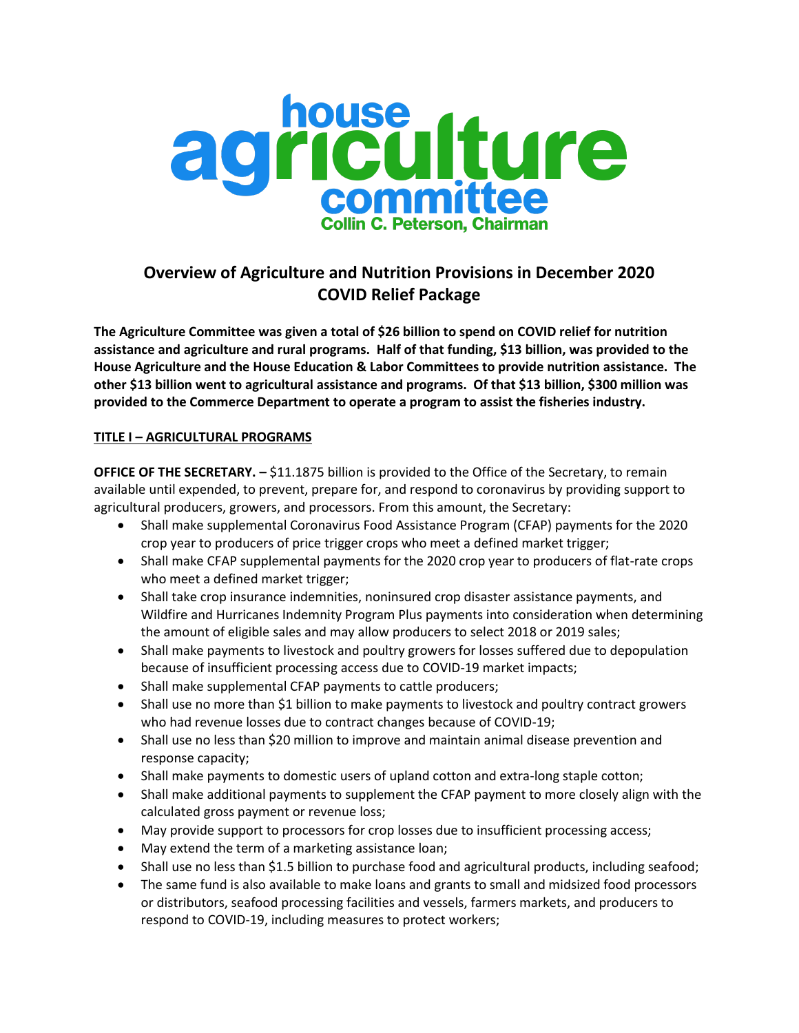

# **Overview of Agriculture and Nutrition Provisions in December 2020 COVID Relief Package**

**The Agriculture Committee was given a total of \$26 billion to spend on COVID relief for nutrition assistance and agriculture and rural programs. Half of that funding, \$13 billion, was provided to the House Agriculture and the House Education & Labor Committees to provide nutrition assistance. The other \$13 billion went to agricultural assistance and programs. Of that \$13 billion, \$300 million was provided to the Commerce Department to operate a program to assist the fisheries industry.**

## **TITLE I – AGRICULTURAL PROGRAMS**

**OFFICE OF THE SECRETARY. –** \$11.1875 billion is provided to the Office of the Secretary, to remain available until expended, to prevent, prepare for, and respond to coronavirus by providing support to agricultural producers, growers, and processors. From this amount, the Secretary:

- Shall make supplemental Coronavirus Food Assistance Program (CFAP) payments for the 2020 crop year to producers of price trigger crops who meet a defined market trigger;
- Shall make CFAP supplemental payments for the 2020 crop year to producers of flat-rate crops who meet a defined market trigger;
- Shall take crop insurance indemnities, noninsured crop disaster assistance payments, and Wildfire and Hurricanes Indemnity Program Plus payments into consideration when determining the amount of eligible sales and may allow producers to select 2018 or 2019 sales;
- Shall make payments to livestock and poultry growers for losses suffered due to depopulation because of insufficient processing access due to COVID-19 market impacts;
- Shall make supplemental CFAP payments to cattle producers;
- Shall use no more than \$1 billion to make payments to livestock and poultry contract growers who had revenue losses due to contract changes because of COVID-19;
- Shall use no less than \$20 million to improve and maintain animal disease prevention and response capacity;
- Shall make payments to domestic users of upland cotton and extra-long staple cotton;
- Shall make additional payments to supplement the CFAP payment to more closely align with the calculated gross payment or revenue loss;
- May provide support to processors for crop losses due to insufficient processing access;
- May extend the term of a marketing assistance loan;
- Shall use no less than \$1.5 billion to purchase food and agricultural products, including seafood;
- The same fund is also available to make loans and grants to small and midsized food processors or distributors, seafood processing facilities and vessels, farmers markets, and producers to respond to COVID-19, including measures to protect workers;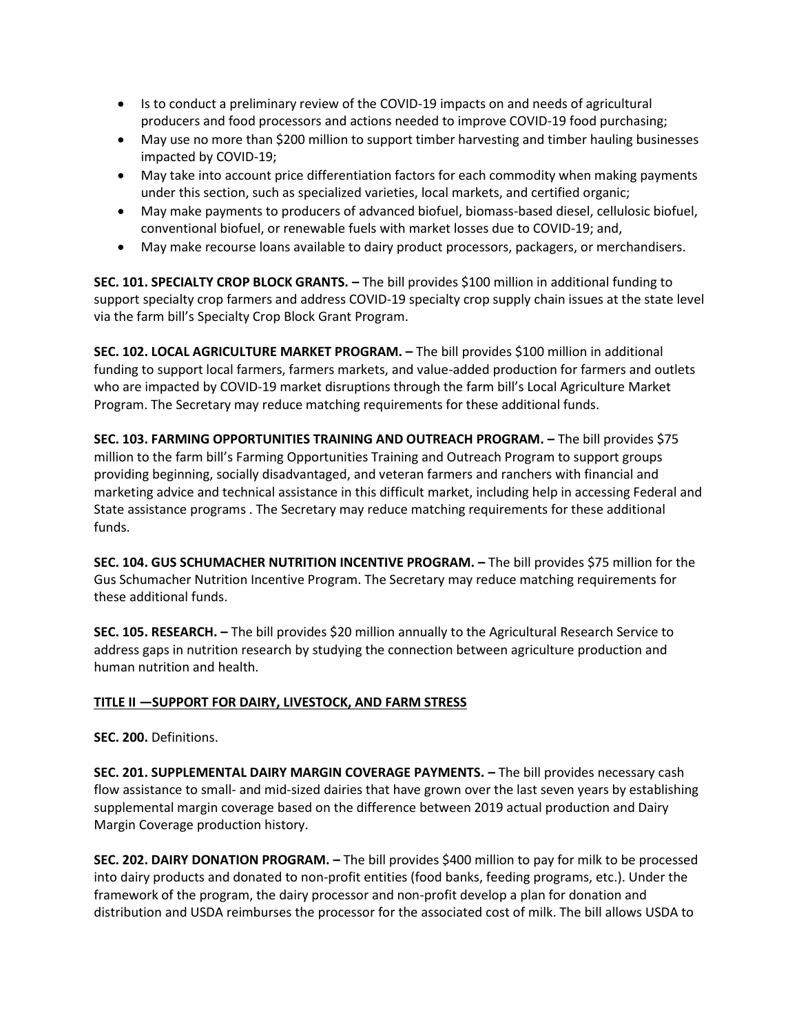- Is to conduct a preliminary review of the COVID-19 impacts on and needs of agricultural producers and food processors and actions needed to improve COVID-19 food purchasing;
- May use no more than \$200 million to support timber harvesting and timber hauling businesses impacted by COVID-19;
- May take into account price differentiation factors for each commodity when making payments under this section, such as specialized varieties, local markets, and certified organic;
- May make payments to producers of advanced biofuel, biomass-based diesel, cellulosic biofuel, conventional biofuel, or renewable fuels with market losses due to COVID-19; and,
- May make recourse loans available to dairy product processors, packagers, or merchandisers.

**SEC. 101. SPECIALTY CROP BLOCK GRANTS. –** The bill provides \$100 million in additional funding to support specialty crop farmers and address COVID-19 specialty crop supply chain issues at the state level via the farm bill's Specialty Crop Block Grant Program.

**SEC. 102. LOCAL AGRICULTURE MARKET PROGRAM. –** The bill provides \$100 million in additional funding to support local farmers, farmers markets, and value-added production for farmers and outlets who are impacted by COVID-19 market disruptions through the farm bill's Local Agriculture Market Program. The Secretary may reduce matching requirements for these additional funds.

**SEC. 103. FARMING OPPORTUNITIES TRAINING AND OUTREACH PROGRAM. –** The bill provides \$75 million to the farm bill's Farming Opportunities Training and Outreach Program to support groups providing beginning, socially disadvantaged, and veteran farmers and ranchers with financial and marketing advice and technical assistance in this difficult market, including help in accessing Federal and State assistance programs . The Secretary may reduce matching requirements for these additional funds.

**SEC. 104. GUS SCHUMACHER NUTRITION INCENTIVE PROGRAM. –** The bill provides \$75 million for the Gus Schumacher Nutrition Incentive Program. The Secretary may reduce matching requirements for these additional funds.

**SEC. 105. RESEARCH. –** The bill provides \$20 million annually to the Agricultural Research Service to address gaps in nutrition research by studying the connection between agriculture production and human nutrition and health.

#### **TITLE II —SUPPORT FOR DAIRY, LIVESTOCK, AND FARM STRESS**

**SEC. 200.** Definitions.

**SEC. 201. SUPPLEMENTAL DAIRY MARGIN COVERAGE PAYMENTS. –** The bill provides necessary cash flow assistance to small- and mid-sized dairies that have grown over the last seven years by establishing supplemental margin coverage based on the difference between 2019 actual production and Dairy Margin Coverage production history.

**SEC. 202. DAIRY DONATION PROGRAM. –** The bill provides \$400 million to pay for milk to be processed into dairy products and donated to non-profit entities (food banks, feeding programs, etc.). Under the framework of the program, the dairy processor and non-profit develop a plan for donation and distribution and USDA reimburses the processor for the associated cost of milk. The bill allows USDA to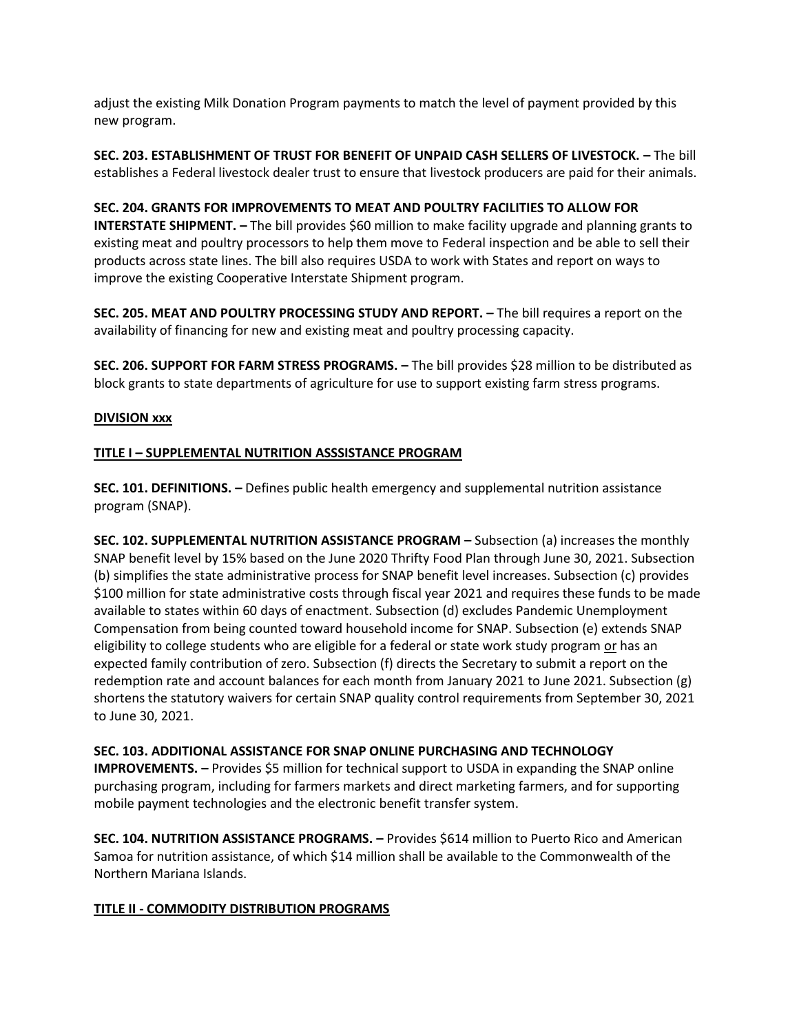adjust the existing Milk Donation Program payments to match the level of payment provided by this new program.

**SEC. 203. ESTABLISHMENT OF TRUST FOR BENEFIT OF UNPAID CASH SELLERS OF LIVESTOCK. –** The bill establishes a Federal livestock dealer trust to ensure that livestock producers are paid for their animals.

#### **SEC. 204. GRANTS FOR IMPROVEMENTS TO MEAT AND POULTRY FACILITIES TO ALLOW FOR**

**INTERSTATE SHIPMENT.** – The bill provides \$60 million to make facility upgrade and planning grants to existing meat and poultry processors to help them move to Federal inspection and be able to sell their products across state lines. The bill also requires USDA to work with States and report on ways to improve the existing Cooperative Interstate Shipment program.

**SEC. 205. MEAT AND POULTRY PROCESSING STUDY AND REPORT. –** The bill requires a report on the availability of financing for new and existing meat and poultry processing capacity.

**SEC. 206. SUPPORT FOR FARM STRESS PROGRAMS. –** The bill provides \$28 million to be distributed as block grants to state departments of agriculture for use to support existing farm stress programs.

#### **DIVISION xxx**

#### **TITLE I – SUPPLEMENTAL NUTRITION ASSSISTANCE PROGRAM**

**SEC. 101. DEFINITIONS. –** Defines public health emergency and supplemental nutrition assistance program (SNAP).

**SEC. 102. SUPPLEMENTAL NUTRITION ASSISTANCE PROGRAM –** Subsection (a) increases the monthly SNAP benefit level by 15% based on the June 2020 Thrifty Food Plan through June 30, 2021. Subsection (b) simplifies the state administrative process for SNAP benefit level increases. Subsection (c) provides \$100 million for state administrative costs through fiscal year 2021 and requires these funds to be made available to states within 60 days of enactment. Subsection (d) excludes Pandemic Unemployment Compensation from being counted toward household income for SNAP. Subsection (e) extends SNAP eligibility to college students who are eligible for a federal or state work study program or has an expected family contribution of zero. Subsection (f) directs the Secretary to submit a report on the redemption rate and account balances for each month from January 2021 to June 2021. Subsection (g) shortens the statutory waivers for certain SNAP quality control requirements from September 30, 2021 to June 30, 2021.

#### **SEC. 103. ADDITIONAL ASSISTANCE FOR SNAP ONLINE PURCHASING AND TECHNOLOGY**

**IMPROVEMENTS. -** Provides \$5 million for technical support to USDA in expanding the SNAP online purchasing program, including for farmers markets and direct marketing farmers, and for supporting mobile payment technologies and the electronic benefit transfer system.

**SEC. 104. NUTRITION ASSISTANCE PROGRAMS. –** Provides \$614 million to Puerto Rico and American Samoa for nutrition assistance, of which \$14 million shall be available to the Commonwealth of the Northern Mariana Islands.

#### **TITLE II - COMMODITY DISTRIBUTION PROGRAMS**